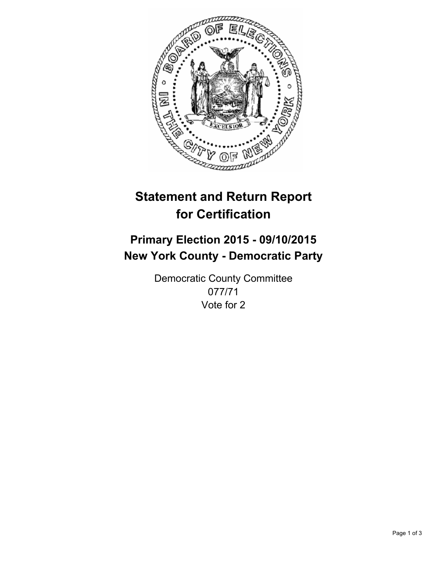

# **Statement and Return Report for Certification**

## **Primary Election 2015 - 09/10/2015 New York County - Democratic Party**

Democratic County Committee 077/71 Vote for 2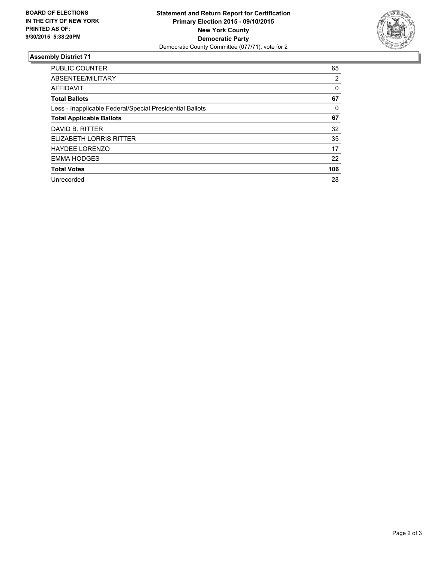

#### **Assembly District 71**

| <b>PUBLIC COUNTER</b>                                    | 65  |
|----------------------------------------------------------|-----|
| ABSENTEE/MILITARY                                        | 2   |
| AFFIDAVIT                                                | 0   |
| <b>Total Ballots</b>                                     | 67  |
| Less - Inapplicable Federal/Special Presidential Ballots | 0   |
| <b>Total Applicable Ballots</b>                          | 67  |
| DAVID B. RITTER                                          | 32  |
| ELIZABETH LORRIS RITTER                                  | 35  |
| <b>HAYDEE LORENZO</b>                                    | 17  |
| <b>EMMA HODGES</b>                                       | 22  |
| <b>Total Votes</b>                                       | 106 |
| Unrecorded                                               | 28  |